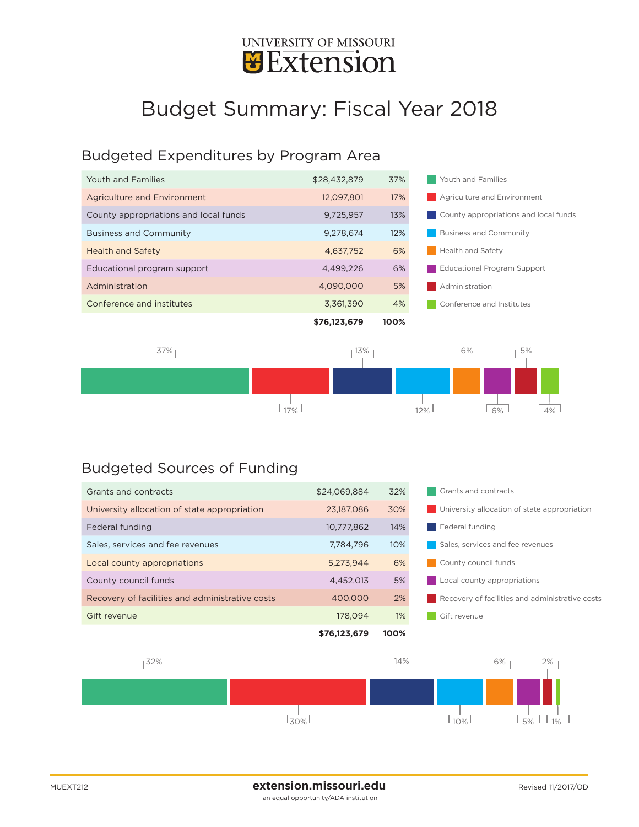

## Budget Summary: Fiscal Year 2018

## Budgeted Expenditures by Program Area

| Youth and Families                    | \$28,432,879 | 37%  | Youth and Families                    |  |
|---------------------------------------|--------------|------|---------------------------------------|--|
| Agriculture and Environment           | 12,097,801   | 17%  | <b>Agriculture and Environment</b>    |  |
| County appropriations and local funds | 9.725.957    | 13%  | County appropriations and local funds |  |
| <b>Business and Community</b>         | 9.278.674    | 12%  | <b>Business and Community</b>         |  |
| <b>Health and Safety</b>              | 4,637,752    | 6%   | Health and Safety                     |  |
| Educational program support           | 4.499.226    | 6%   | Educational Program Support           |  |
| Administration                        | 4,090,000    | 5%   | Administration                        |  |
| Conference and institutes             | 3,361,390    | 4%   | Conference and Institutes             |  |
|                                       | \$76,123,679 | 100% |                                       |  |



## Budgeted Sources of Funding

| Grants and contracts                            | \$24.069.884 | 32%   | Grants and contracts                            |  |
|-------------------------------------------------|--------------|-------|-------------------------------------------------|--|
| University allocation of state appropriation    | 23,187,086   | 30%   | University allocation of state appropriation    |  |
| Federal funding                                 | 10,777,862   | 14%   | Federal funding                                 |  |
| Sales, services and fee revenues                | 7.784.796    | 10%   | Sales, services and fee revenues                |  |
| Local county appropriations                     | 5.273.944    | 6%    | County council funds                            |  |
| County council funds                            | 4,452,013    | 5%    | Local county appropriations                     |  |
| Recovery of facilities and administrative costs | 400,000      | 2%    | Recovery of facilities and administrative costs |  |
| Gift revenue                                    | 178.094      | $1\%$ | Gift revenue                                    |  |
|                                                 | \$76,123,679 | 100%  |                                                 |  |